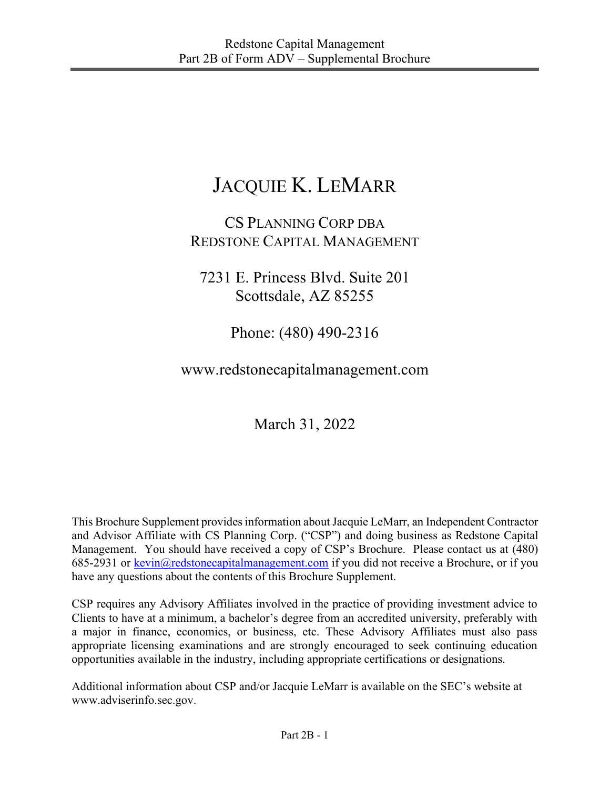# JACQUIE K. LEMARR

# CS PLANNING CORP DBA REDSTONE CAPITAL MANAGEMENT

7231 E. Princess Blvd. Suite 201 Scottsdale, AZ 85255

Phone: (480) 490-2316

www.redstonecapitalmanagement.com

March 31, 2022

This Brochure Supplement provides information about Jacquie LeMarr, an Independent Contractor and Advisor Affiliate with CS Planning Corp. ("CSP") and doing business as Redstone Capital Management. You should have received a copy of CSP's Brochure. Please contact us at (480) 685-2931 or  $\frac{\text{kevin}(a)}{\text{redstone}(\text{capital}(\text{m} \cdot \text{m} \cdot \text{m}))}$  if you did not receive a Brochure, or if you have any questions about the contents of this Brochure Supplement.

CSP requires any Advisory Affiliates involved in the practice of providing investment advice to Clients to have at a minimum, a bachelor's degree from an accredited university, preferably with a major in finance, economics, or business, etc. These Advisory Affiliates must also pass appropriate licensing examinations and are strongly encouraged to seek continuing education opportunities available in the industry, including appropriate certifications or designations.

Additional information about CSP and/or Jacquie LeMarr is available on the SEC's website at www.adviserinfo.sec.gov.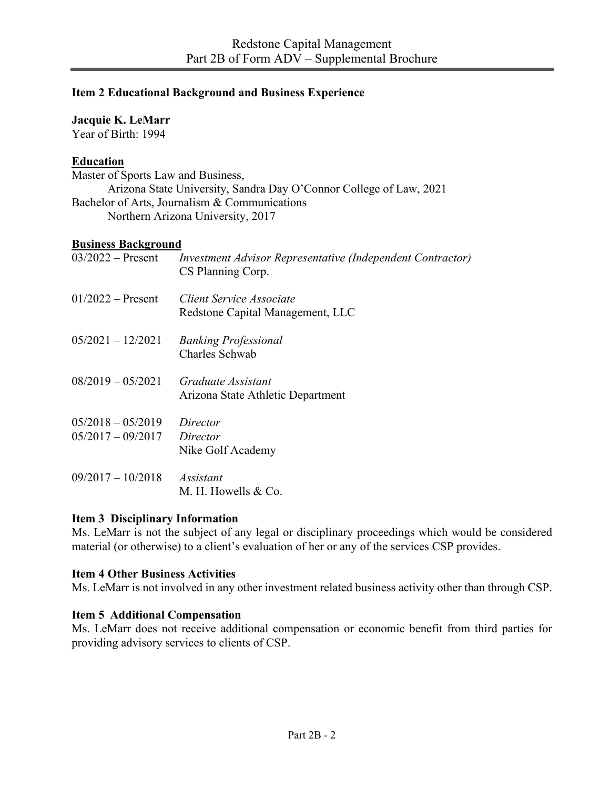#### **Item 2 Educational Background and Business Experience**

#### **Jacquie K. LeMarr**

Year of Birth: 1994

# **Education**

Master of Sports Law and Business, Arizona State University, Sandra Day O'Connor College of Law, 2021 Bachelor of Arts, Journalism & Communications Northern Arizona University, 2017

#### **Business Background**

| $03/2022$ – Present   | Investment Advisor Representative (Independent Contractor)<br>CS Planning Corp. |
|-----------------------|---------------------------------------------------------------------------------|
| $01/2022 -$ Present   | Client Service Associate<br>Redstone Capital Management, LLC                    |
| $05/2021 - 12/2021$   | <b>Banking Professional</b><br>Charles Schwab                                   |
| $08/2019 - 05/2021$   | Graduate Assistant<br>Arizona State Athletic Department                         |
| $0.5/2018 - 0.5/2019$ | Director                                                                        |
| $05/2017 - 09/2017$   | Director                                                                        |
|                       | Nike Golf Academy                                                               |
| $09/2017 - 10/2018$   | <i>Assistant</i>                                                                |
|                       | M. H. Howells & Co.                                                             |

#### **Item 3 Disciplinary Information**

Ms. LeMarr is not the subject of any legal or disciplinary proceedings which would be considered material (or otherwise) to a client's evaluation of her or any of the services CSP provides.

## **Item 4 Other Business Activities**

Ms. LeMarr is not involved in any other investment related business activity other than through CSP.

## **Item 5 Additional Compensation**

Ms. LeMarr does not receive additional compensation or economic benefit from third parties for providing advisory services to clients of CSP.